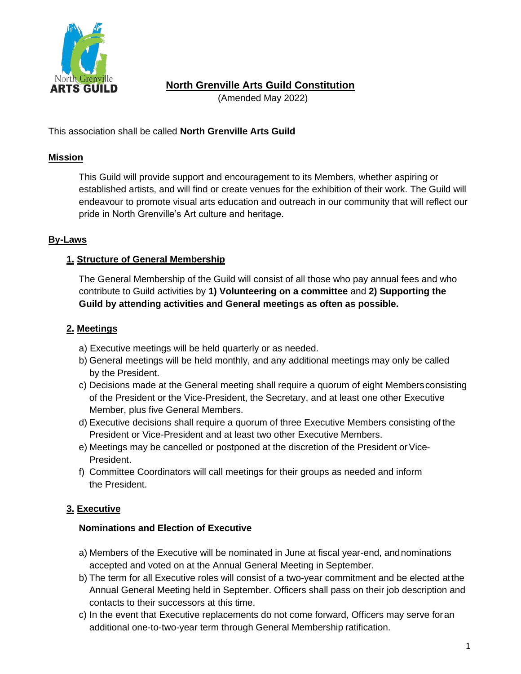

# **North Grenville Arts Guild Constitution**

(Amended May 2022)

This association shall be called **North Grenville Arts Guild**

# **Mission**

This Guild will provide support and encouragement to its Members, whether aspiring or established artists, and will find or create venues for the exhibition of their work. The Guild will endeavour to promote visual arts education and outreach in our community that will reflect our pride in North Grenville's Art culture and heritage.

## **By-Laws**

# **1. Structure of General Membership**

The General Membership of the Guild will consist of all those who pay annual fees and who contribute to Guild activities by **1) Volunteering on a committee** and **2) Supporting the Guild by attending activities and General meetings as often as possible.**

## **2. Meetings**

- a) Executive meetings will be held quarterly or as needed.
- b) General meetings will be held monthly, and any additional meetings may only be called by the President.
- c) Decisions made at the General meeting shall require a quorum of eight Membersconsisting of the President or the Vice-President, the Secretary, and at least one other Executive Member, plus five General Members.
- d) Executive decisions shall require a quorum of three Executive Members consisting of the President or Vice-President and at least two other Executive Members.
- e) Meetings may be cancelled or postponed at the discretion of the President or Vice-President.
- f) Committee Coordinators will call meetings for their groups as needed and inform the President.

# **3. Executive**

### **Nominations and Election of Executive**

- a) Members of the Executive will be nominated in June at fiscal year-end, andnominations accepted and voted on at the Annual General Meeting in September.
- b) The term for all Executive roles will consist of a two-year commitment and be elected atthe Annual General Meeting held in September. Officers shall pass on their job description and contacts to their successors at this time.
- c) In the event that Executive replacements do not come forward, Officers may serve foran additional one-to-two-year term through General Membership ratification.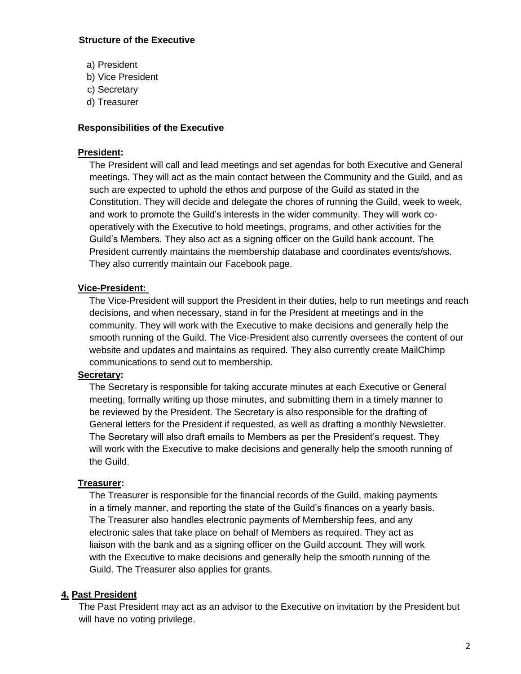### **Structure of the Executive**

- a) President
- b) Vice President
- c) Secretary
- d) Treasurer

### **Responsibilities of the Executive**

#### **President:**

The President will call and lead meetings and set agendas for both Executive and General meetings. They will act as the main contact between the Community and the Guild, and as such are expected to uphold the ethos and purpose of the Guild as stated in the Constitution. They will decide and delegate the chores of running the Guild, week to week, and work to promote the Guild's interests in the wider community. They will work cooperatively with the Executive to hold meetings, programs, and other activities for the Guild's Members. They also act as a signing officer on the Guild bank account. The President currently maintains the membership database and coordinates events/shows. They also currently maintain our Facebook page.

### **Vice-President:**

The Vice-President will support the President in their duties, help to run meetings and reach decisions, and when necessary, stand in for the President at meetings and in the community. They will work with the Executive to make decisions and generally help the smooth running of the Guild. The Vice-President also currently oversees the content of our website and updates and maintains as required. They also currently create MailChimp communications to send out to membership.

### **Secretary:**

The Secretary is responsible for taking accurate minutes at each Executive or General meeting, formally writing up those minutes, and submitting them in a timely manner to be reviewed by the President. The Secretary is also responsible for the drafting of General letters for the President if requested, as well as drafting a monthly Newsletter. The Secretary will also draft emails to Members as per the President's request. They will work with the Executive to make decisions and generally help the smooth running of the Guild.

### **Treasurer:**

The Treasurer is responsible for the financial records of the Guild, making payments in a timely manner, and reporting the state of the Guild's finances on a yearly basis. The Treasurer also handles electronic payments of Membership fees, and any electronic sales that take place on behalf of Members as required. They act as liaison with the bank and as a signing officer on the Guild account. They will work with the Executive to make decisions and generally help the smooth running of the Guild. The Treasurer also applies for grants.

### **4. Past President**

The Past President may act as an advisor to the Executive on invitation by the President but will have no voting privilege.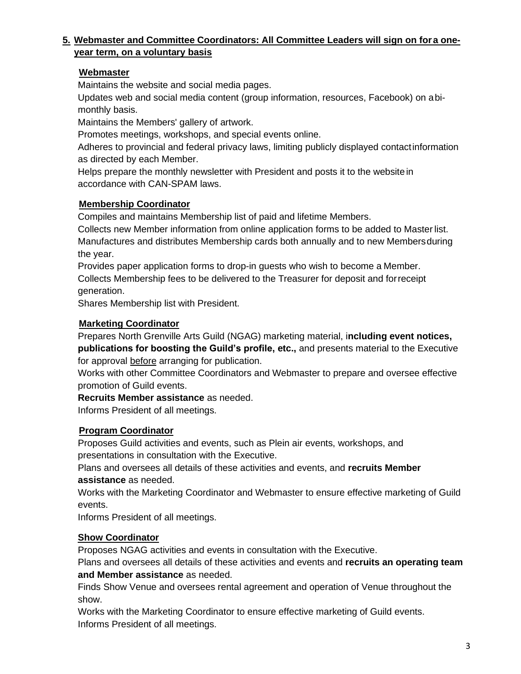# **5. Webmaster and Committee Coordinators: All Committee Leaders will sign on fora oneyear term, on a voluntary basis**

# **Webmaster**

Maintains the website and social media pages.

Updates web and social media content (group information, resources, Facebook) on abimonthly basis.

Maintains the Members' gallery of artwork.

Promotes meetings, workshops, and special events online.

Adheres to provincial and federal privacy laws, limiting publicly displayed contactinformation as directed by each Member.

Helps prepare the monthly newsletter with President and posts it to the website in accordance with CAN-SPAM laws.

# **Membership Coordinator**

Compiles and maintains Membership list of paid and lifetime Members.

Collects new Member information from online application forms to be added to Master list. Manufactures and distributes Membership cards both annually and to new Membersduring the year.

Provides paper application forms to drop-in guests who wish to become a Member. Collects Membership fees to be delivered to the Treasurer for deposit and forreceipt generation.

Shares Membership list with President.

## **Marketing Coordinator**

Prepares North Grenville Arts Guild (NGAG) marketing material, i**ncluding event notices, publications for boosting the Guild's profile, etc.,** and presents material to the Executive for approval before arranging for publication.

Works with other Committee Coordinators and Webmaster to prepare and oversee effective promotion of Guild events.

**Recruits Member assistance** as needed.

Informs President of all meetings.

# **Program Coordinator**

Proposes Guild activities and events, such as Plein air events, workshops, and presentations in consultation with the Executive.

Plans and oversees all details of these activities and events, and **recruits Member assistance** as needed.

Works with the Marketing Coordinator and Webmaster to ensure effective marketing of Guild events.

Informs President of all meetings.

# **Show Coordinator**

Proposes NGAG activities and events in consultation with the Executive.

Plans and oversees all details of these activities and events and **recruits an operating team and Member assistance** as needed.

Finds Show Venue and oversees rental agreement and operation of Venue throughout the show.

Works with the Marketing Coordinator to ensure effective marketing of Guild events. Informs President of all meetings.